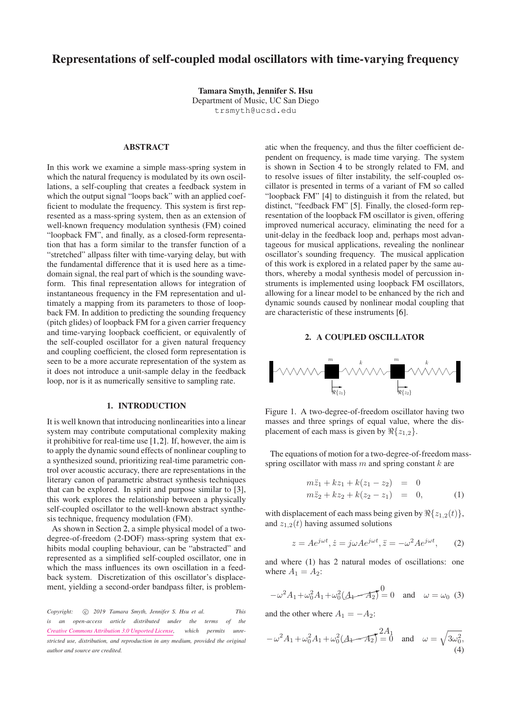# Representations of self-coupled modal oscillators with time-varying frequency

Tamara Smyth, Jennifer S. Hsu Department of Music, UC San Diego [trsmyth@ucsd.edu](mailto:trsmyth@ucsd.edu)

# ABSTRACT

In this work we examine a simple mass-spring system in which the natural frequency is modulated by its own oscillations, a self-coupling that creates a feedback system in which the output signal "loops back" with an applied coefficient to modulate the frequency. This system is first represented as a mass-spring system, then as an extension of well-known frequency modulation synthesis (FM) coined "loopback FM", and finally, as a closed-form representation that has a form similar to the transfer function of a "stretched" allpass filter with time-varying delay, but with the fundamental difference that it is used here as a timedomain signal, the real part of which is the sounding waveform. This final representation allows for integration of instantaneous frequency in the FM representation and ultimately a mapping from its parameters to those of loopback FM. In addition to predicting the sounding frequency (pitch glides) of loopback FM for a given carrier frequency and time-varying loopback coefficient, or equivalently of the self-coupled oscillator for a given natural frequency and coupling coefficient, the closed form representation is seen to be a more accurate representation of the system as it does not introduce a unit-sample delay in the feedback loop, nor is it as numerically sensitive to sampling rate.

# 1. INTRODUCTION

It is well known that introducing nonlinearities into a linear system may contribute computational complexity making it prohibitive for real-time use [\[1,](#page-7-0)[2\]](#page-7-1). If, however, the aim is to apply the dynamic sound effects of nonlinear coupling to a synthesized sound, prioritizing real-time parametric control over acoustic accuracy, there are representations in the literary canon of parametric abstract synthesis techniques that can be explored. In spirit and purpose similar to [\[3\]](#page-7-2), this work explores the relationship between a physically self-coupled oscillator to the well-known abstract synthesis technique, frequency modulation (FM).

As shown in Section [2,](#page-0-0) a simple physical model of a twodegree-of-freedom (2-DOF) mass-spring system that exhibits modal coupling behaviour, can be "abstracted" and represented as a simplified self-coupled oscillator, one in which the mass influences its own oscillation in a feedback system. Discretization of this oscillator's displacement, yielding a second-order bandpass filter, is problem-

*Copyright:* c *2019 Tamara Smyth, Jennifer S. Hsu et al. This is an open-access article distributed under the terms of the [Creative Commons Attribution 3.0 Unported License,](http://creativecommons.org/licenses/by/3.0/) which permits unrestricted use, distribution, and reproduction in any medium, provided the original author and source are credited.*

atic when the frequency, and thus the filter coefficient dependent on frequency, is made time varying. The system is shown in Section [4](#page-3-0) to be strongly related to FM, and to resolve issues of filter instability, the self-coupled oscillator is presented in terms of a variant of FM so called "loopback FM" [\[4\]](#page-7-3) to distinguish it from the related, but distinct, "feedback FM" [\[5\]](#page-7-4). Finally, the closed-form representation of the loopback FM oscillator is given, offering improved numerical accuracy, eliminating the need for a unit-delay in the feedback loop and, perhaps most advantageous for musical applications, revealing the nonlinear oscillator's sounding frequency. The musical application of this work is explored in a related paper by the same authors, whereby a modal synthesis model of percussion instruments is implemented using loopback FM oscillators, allowing for a linear model to be enhanced by the rich and dynamic sounds caused by nonlinear modal coupling that are characteristic of these instruments [\[6\]](#page-7-5).

# 2. A COUPLED OSCILLATOR

<span id="page-0-0"></span>

Figure 1. A two-degree-of-freedom oscillator having two masses and three springs of equal value, where the displacement of each mass is given by  $\Re\{z_{1,2}\}.$ 

The equations of motion for a two-degree-of-freedom massspring oscillator with mass  $m$  and spring constant  $k$  are

<span id="page-0-1"></span>
$$
m\ddot{z}_1 + kz_1 + k(z_1 - z_2) = 0
$$
  
\n
$$
m\ddot{z}_2 + kz_2 + k(z_2 - z_1) = 0,
$$
\n(1)

with displacement of each mass being given by  $\Re\{z_{1,2}(t)\}\,$ , and  $z_{1,2}(t)$  having assumed solutions

<span id="page-0-2"></span>
$$
z = Ae^{j\omega t}, \dot{z} = j\omega Ae^{j\omega t}, \ddot{z} = -\omega^2 Ae^{j\omega t}, \qquad (2)
$$

and where [\(1\)](#page-0-1) has 2 natural modes of oscillations: one where  $A_1 = A_2$ :

$$
-\omega^2 A_1 + \omega_0^2 A_1 + \omega_0^2 (A_1 - A_2) = 0 \text{ and } \omega = \omega_0 \text{ (3)}
$$

and the other where  $A_1 = -A_2$ :

$$
-\omega^2 A_1 + \omega_0^2 A_1 + \omega_0^2 (A_1 - A_2) = 0 \text{ and } \omega = \sqrt{3\omega_0^2},
$$
\n(4)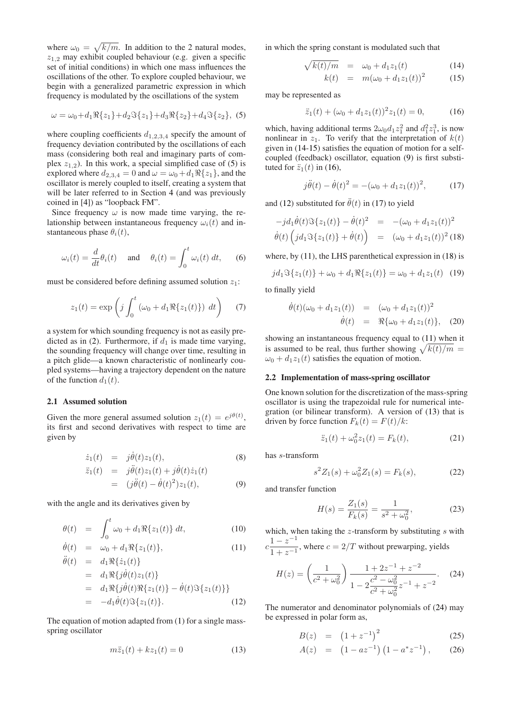where  $\omega_0 = \sqrt{k/m}$ . In addition to the 2 natural modes,  $z_{1,2}$  may exhibit coupled behaviour (e.g. given a specific set of initial conditions) in which one mass influences the oscillations of the other. To explore coupled behaviour, we begin with a generalized parametric expression in which frequency is modulated by the oscillations of the system

<span id="page-1-0"></span>
$$
\omega = \omega_0 + d_1 \Re\{z_1\} + d_2 \Im\{z_1\} + d_3 \Re\{z_2\} + d_4 \Im\{z_2\}, \tag{5}
$$

where coupling coefficients  $d_{1,2,3,4}$  specify the amount of frequency deviation contributed by the oscillations of each mass (considering both real and imaginary parts of complex  $z_{1,2}$ ). In this work, a special simplified case of [\(5\)](#page-1-0) is explored where  $d_{2,3,4} = 0$  and  $\omega = \omega_0 + d_1 \Re\{z_1\}$ , and the oscillator is merely coupled to itself, creating a system that will be later referred to in Section [4](#page-3-0) (and was previously coined in [\[4\]](#page-7-3)) as "loopback FM".

Since frequency  $\omega$  is now made time varying, the relationship between instantaneous frequency  $\omega_i(t)$  and instantaneous phase  $\theta_i(t)$ ,

<span id="page-1-10"></span>
$$
\omega_i(t) = \frac{d}{dt}\theta_i(t) \quad \text{and} \quad \theta_i(t) = \int_0^t \omega_i(t) \, dt, \quad (6)
$$

must be considered before defining assumed solution  $z_1$ :

$$
z_1(t) = \exp\left(j \int_0^t \left(\omega_0 + d_1 \Re\{z_1(t)\}\right) \, dt\right) \tag{7}
$$

a system for which sounding frequency is not as easily pre-dicted as in [\(2\)](#page-0-2). Furthermore, if  $d_1$  is made time varying, the sounding frequency will change over time, resulting in a pitch glide—a known characteristic of nonlinearly coupled systems—having a trajectory dependent on the nature of the function  $d_1(t)$ .

# 2.1 Assumed solution

Given the more general assumed solution  $z_1(t) = e^{j\theta(t)}$ , its first and second derivatives with respect to time are given by

<span id="page-1-2"></span>
$$
\dot{z}_1(t) = j\dot{\theta}(t)z_1(t), \qquad (8)
$$

$$
\ddot{z}_1(t) = j\ddot{\theta}(t)z_1(t) + j\dot{\theta}(t)\dot{z}_1(t) \n= (j\ddot{\theta}(t) - \dot{\theta}(t)^2)z_1(t),
$$
\n(9)

with the angle and its derivatives given by

<span id="page-1-4"></span>
$$
\theta(t) = \int_0^t \omega_0 + d_1 \Re\{z_1(t)\} dt, \tag{10}
$$

$$
\dot{\theta}(t) = \omega_0 + d_1 \Re\{z_1(t)\},
$$
  
\n
$$
\ddot{\theta}(t) = d_1 \Re\{z_1(t)\}
$$
\n(11)

$$
(e) = a_1 \Re{\{j\dot{\theta}(t)z_1(t)\}}
$$
  
=  $d_1 \Re{\{j\dot{\theta}(t)z_1(t)\}}$   
=  $d_1 \Re{\{j\dot{\theta}(t) \Re{\{z_1(t)\}} - \dot{\theta}(t) \Im{\{z_1(t)\}}\}}$   
=  $-d_1 \dot{\theta}(t) \Im{\{z_1(t)\}}.$  (12)

The equation of motion adapted from [\(1\)](#page-0-1) for a single massspring oscillator

<span id="page-1-7"></span>
$$
m\ddot{z}_1(t) + kz_1(t) = 0 \tag{13}
$$

in which the spring constant is modulated such that

$$
\sqrt{k(t)/m} = \omega_0 + d_1 z_1(t) \tag{14}
$$

$$
k(t) = m(\omega_0 + d_1 z_1(t))^2 \tag{15}
$$

may be represented as

<span id="page-1-1"></span> $\Lambda$ 

<span id="page-1-3"></span>
$$
\ddot{z}_1(t) + (\omega_0 + d_1 z_1(t))^2 z_1(t) = 0, \qquad (16)
$$

which, having additional terms  $2\omega_0 d_1 z_1^2$  and  $d_1^2 z_1^3$ , is now nonlinear in  $z_1$ . To verify that the interpretation of  $k(t)$ given in [\(14-15\)](#page-1-1) satisfies the equation of motion for a selfcoupled (feedback) oscillator, equation [\(9\)](#page-1-2) is first substituted for  $\ddot{z}_1(t)$  in [\(16\)](#page-1-3),

<span id="page-1-5"></span>
$$
j\ddot{\theta}(t) - \dot{\theta}(t)^2 = -(\omega_0 + d_1 z_1(t))^2, \qquad (17)
$$

and [\(12\)](#page-1-4) substituted for  $\ddot{\theta}(t)$  in [\(17\)](#page-1-5) to yield

<span id="page-1-6"></span>
$$
-jd_1\dot{\theta}(t)\Im\{z_1(t)\} - \dot{\theta}(t)^2 = -(\omega_0 + d_1z_1(t))^2
$$
  

$$
\dot{\theta}(t)\left(jd_1\Im\{z_1(t)\} + \dot{\theta}(t)\right) = (\omega_0 + d_1z_1(t))^2
$$
(18)

where, by [\(11\)](#page-1-4), the LHS parenthetical expression in [\(18\)](#page-1-6) is

$$
jd_1\Im\{z_1(t)\} + \omega_0 + d_1\Re\{z_1(t)\} = \omega_0 + d_1z_1(t)
$$
 (19)

to finally yield

$$
\dot{\theta}(t)(\omega_0 + d_1 z_1(t)) = (\omega_0 + d_1 z_1(t))^2 \n\dot{\theta}(t) = \Re{\omega_0 + d_1 z_1(t)},
$$
\n(20)

showing an instantaneous frequency equal to [\(11\)](#page-1-4) when it is assumed to be real, thus further showing  $\sqrt{k(t)/m} =$  $\omega_0 + d_1 z_1(t)$  satisfies the equation of motion.

## 2.2 Implementation of mass-spring oscillator

One known solution for the discretization of the mass-spring oscillator is using the trapezoidal rule for numerical integration (or bilinear transform). A version of [\(13\)](#page-1-7) that is driven by force function  $F_k(t) = F(t)/k$ :

<span id="page-1-9"></span>
$$
\ddot{z}_1(t) + \omega_0^2 z_1(t) = F_k(t), \tag{21}
$$

has s-transform

$$
s^{2}Z_{1}(s) + \omega_{0}^{2}Z_{1}(s) = F_{k}(s), \qquad (22)
$$

and transfer function

$$
H(s) = \frac{Z_1(s)}{F_k(s)} = \frac{1}{s^2 + \omega_0^2},\tag{23}
$$

which, when taking the  $z$ -transform by substituting  $s$  with  $c \frac{1-z^{-1}}{1-z}$  $\frac{1}{1 + z^{-1}}$ , where  $c = 2/T$  without prewarping, yields

<span id="page-1-8"></span>
$$
H(z) = \left(\frac{1}{c^2 + \omega_0^2}\right) \frac{1 + 2z^{-1} + z^{-2}}{1 - 2\frac{c^2 - \omega_0^2}{c^2 + \omega_0^2}z^{-1} + z^{-2}}.
$$
 (24)

The numerator and denominator polynomials of [\(24\)](#page-1-8) may be expressed in polar form as,

$$
B(z) = (1 + z^{-1})^2 \tag{25}
$$

$$
A(z) = (1 - az^{-1}) (1 - a^* z^{-1}), \qquad (26)
$$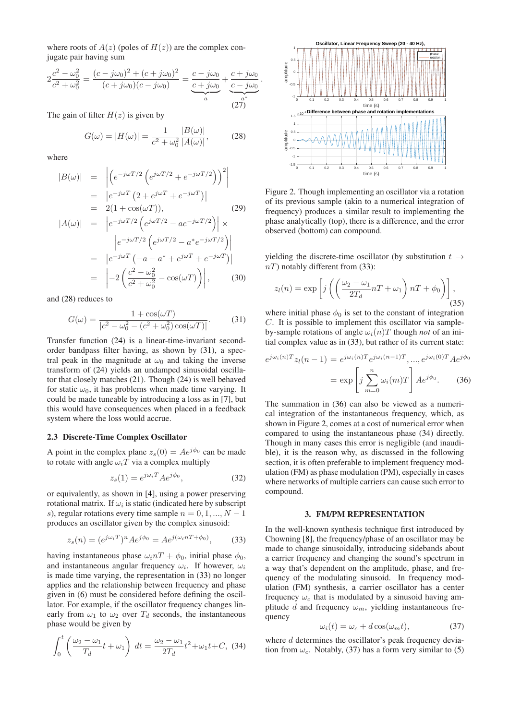where roots of  $A(z)$  (poles of  $H(z)$ ) are the complex conjugate pair having sum

$$
2\frac{c^2 - \omega_0^2}{c^2 + \omega_0^2} = \frac{(c - j\omega_0)^2 + (c + j\omega_0)^2}{(c + j\omega_0)(c - j\omega_0)} = \underbrace{\frac{c - j\omega_0}{c + j\omega_0}}_{a} + \underbrace{\frac{c + j\omega_0}{c - j\omega_0}}_{a}
$$

The gain of filter  $H(z)$  is given by

<span id="page-2-0"></span>
$$
G(\omega) = |H(\omega)| = \frac{1}{c^2 + \omega_0^2} \frac{|B(\omega)|}{|A(\omega)|},
$$
 (28)

.

where

$$
|B(\omega)| = \left| \left( e^{-j\omega T/2} \left( e^{j\omega T/2} + e^{-j\omega T/2} \right) \right)^2 \right|
$$
  
= 
$$
\left| e^{-j\omega T} \left( 2 + e^{j\omega T} + e^{-j\omega T} \right) \right|
$$
  
= 
$$
2(1 + \cos(\omega T)),
$$
 (29)

$$
|A(\omega)| = \left| e^{-j\omega T/2} \left( e^{j\omega T/2} - a e^{-j\omega T/2} \right) \right| \times
$$

$$
\left| e^{-j\omega T/2} \left( e^{j\omega T/2} - a^* e^{-j\omega T/2} \right) \right|
$$

$$
= \left| e^{-j\omega T} \left( -a - a^* + e^{j\omega T} + e^{-j\omega T} \right) \right|
$$

$$
= \left| -2 \left( \frac{c^2 - \omega_0^2}{c^2 + \omega_0^2} - \cos(\omega T) \right) \right|, \qquad (30)
$$

and [\(28\)](#page-2-0) reduces to

<span id="page-2-1"></span>
$$
G(\omega) = \frac{1 + \cos(\omega T)}{|c^2 - \omega_0^2 - (c^2 + \omega_0^2)\cos(\omega T)|}.
$$
 (31)

Transfer function [\(24\)](#page-1-8) is a linear-time-invariant secondorder bandpass filter having, as shown by [\(31\)](#page-2-1), a spectral peak in the magnitude at  $\omega_0$  and taking the inverse transform of [\(24\)](#page-1-8) yields an undamped sinusoidal oscillator that closely matches [\(21\)](#page-1-9). Though [\(24\)](#page-1-8) is well behaved for static  $\omega_0$ , it has problems when made time varying. It could be made tuneable by introducing a loss as in [\[7\]](#page-7-6), but this would have consequences when placed in a feedback system where the loss would accrue.

#### 2.3 Discrete-Time Complex Oscillator

A point in the complex plane  $z_s(0) = Ae^{j\phi_0}$  can be made to rotate with angle  $\omega_i T$  via a complex multiply

$$
z_s(1) = e^{j\omega_i T} A e^{j\phi_0}, \qquad (32)
$$

or equivalently, as shown in [\[4\]](#page-7-3), using a power preserving rotational matrix. If  $\omega_i$  is static (indicated here by subscript s), regular rotations every time sample  $n = 0, 1, ..., N - 1$ produces an oscillator given by the complex sinusoid:

<span id="page-2-2"></span>
$$
z_s(n) = (e^{j\omega_i T})^n A e^{j\phi_0} = A e^{j(\omega_i nT + \phi_0)},
$$
 (33)

having instantaneous phase  $\omega_i nT + \phi_0$ , initial phase  $\phi_0$ , and instantaneous angular frequency  $\omega_i$ . If however,  $\omega_i$ is made time varying, the representation in [\(33\)](#page-2-2) no longer applies and the relationship between frequency and phase given in [\(6\)](#page-1-10) must be considered before defining the oscillator. For example, if the oscillator frequency changes linearly from  $\omega_1$  to  $\omega_2$  over  $T_d$  seconds, the instantaneous phase would be given by

<span id="page-2-5"></span>
$$
\int_0^t \left(\frac{\omega_2 - \omega_1}{T_d}t + \omega_1\right) dt = \frac{\omega_2 - \omega_1}{2T_d}t^2 + \omega_1 t + C, \tag{34}
$$

<span id="page-2-4"></span>

Figure 2. Though implementing an oscillator via a rotation of its previous sample (akin to a numerical integration of frequency) produces a similar result to implementing the phase analytically (top), there is a difference, and the error observed (bottom) can compound.

yielding the discrete-time oscillator (by substitution  $t \rightarrow$  $nT$ ) notably different from [\(33\)](#page-2-2):

$$
z_l(n) = \exp\left[j\left(\left(\frac{\omega_2 - \omega_1}{2T_d}nT + \omega_1\right)nT + \phi_0\right)\right],
$$
\n(35)

where initial phase  $\phi_0$  is set to the constant of integration C. It is possible to implement this oscillator via sampleby-sample rotations of angle  $\omega_i(n)T$  though *not* of an initial complex value as in [\(33\)](#page-2-2), but rather of its current state:

<span id="page-2-3"></span>
$$
e^{j\omega_i(n)T}z_l(n-1) = e^{j\omega_i(n)T}e^{j\omega_i(n-1)T}, \dots, e^{j\omega_i(0)T}Ae^{j\phi_0}
$$

$$
= \exp\left[j\sum_{m=0}^n \omega_i(m)T\right]Ae^{j\phi_0}.\tag{36}
$$

The summation in [\(36\)](#page-2-3) can also be viewed as a numerical integration of the instantaneous frequency, which, as shown in Figure [2,](#page-2-4) comes at a cost of numerical error when compared to using the instantaneous phase [\(34\)](#page-2-5) directly. Though in many cases this error is negligible (and inaudible), it is the reason why, as discussed in the following section, it is often preferable to implement frequency modulation (FM) as phase modulation (PM), especially in cases where networks of multiple carriers can cause such error to compound.

## 3. FM/PM REPRESENTATION

In the well-known synthesis technique first introduced by Chowning [\[8\]](#page-7-7), the frequency/phase of an oscillator may be made to change sinusoidally, introducing sidebands about a carrier frequency and changing the sound's spectrum in a way that's dependent on the amplitude, phase, and frequency of the modulating sinusoid. In frequency modulation (FM) synthesis, a carrier oscillator has a center frequency  $\omega_c$  that is modulated by a sinusoid having amplitude d and frequency  $\omega_m$ , yielding instantaneous frequency

<span id="page-2-6"></span>
$$
\omega_i(t) = \omega_c + d\cos(\omega_m t),\tag{37}
$$

where d determines the oscillator's peak frequency deviation from  $\omega_c$ . Notably, [\(37\)](#page-2-6) has a form very similar to [\(5\)](#page-1-0)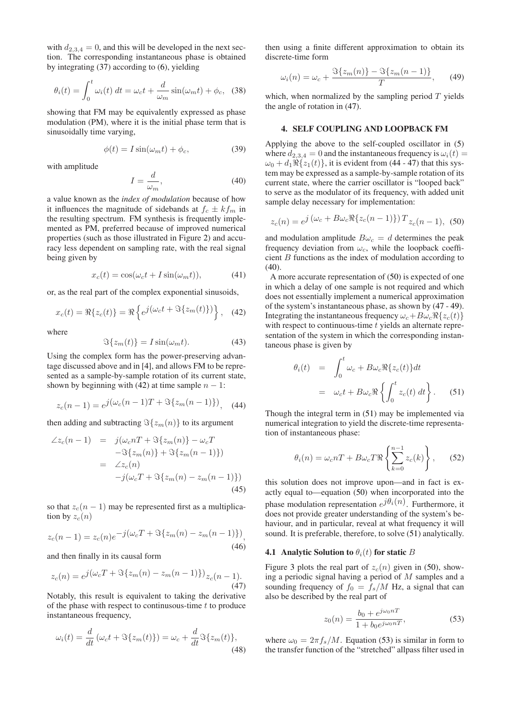with  $d_{2,3,4} = 0$ , and this will be developed in the next section. The corresponding instantaneous phase is obtained by integrating [\(37\)](#page-2-6) according to [\(6\)](#page-1-10), yielding

$$
\theta_i(t) = \int_0^t \omega_i(t) dt = \omega_c t + \frac{d}{\omega_m} \sin(\omega_m t) + \phi_c, \quad (38)
$$

showing that FM may be equivalently expressed as phase modulation (PM), where it is the initial phase term that is sinusoidally time varying,

$$
\phi(t) = I\sin(\omega_m t) + \phi_c,\tag{39}
$$

with amplitude

<span id="page-3-4"></span>
$$
I = \frac{d}{\omega_m},\tag{40}
$$

a value known as the *index of modulation* because of how it influences the magnitude of sidebands at  $f_c \pm k f_m$  in the resulting spectrum. FM synthesis is frequently implemented as PM, preferred because of improved numerical properties (such as those illustrated in Figure [2\)](#page-2-4) and accuracy less dependent on sampling rate, with the real signal being given by

$$
x_c(t) = \cos(\omega_c t + I\sin(\omega_m t)), \tag{41}
$$

or, as the real part of the complex exponential sinusoids,

<span id="page-3-1"></span>
$$
x_c(t) = \Re\{z_c(t)\} = \Re\left\{e^{j\left(\omega_c t + \Im\{z_m(t)\}\right)}\right\}, \quad (42)
$$

where

$$
\Im\{z_m(t)\} = I\sin(\omega_m t). \tag{43}
$$

Using the complex form has the power-preserving advantage discussed above and in [\[4\]](#page-7-3), and allows FM to be represented as a sample-by-sample rotation of its current state, shown by beginning with [\(42\)](#page-3-1) at time sample  $n - 1$ :

<span id="page-3-3"></span>
$$
z_c(n-1) = e^{j(\omega_c(n-1)T + \Im\{z_m(n-1)\})}, \quad (44)
$$

then adding and subtracting  $\Im\{z_m(n)\}\$ to its argument

$$
\angle z_c(n-1) = j(\omega_c nT + \Im\{z_m(n)\} - \omega_c T
$$
  
\n
$$
-\Im\{z_m(n)\} + \Im\{z_m(n-1)\})
$$
  
\n
$$
= \angle z_c(n)
$$
  
\n
$$
-j(\omega_c T + \Im\{z_m(n) - z_m(n-1)\})
$$
\n(45)

so that  $z_c(n-1)$  may be represented first as a multiplication by  $z_c(n)$ 

$$
z_c(n-1) = z_c(n)e^{-j(\omega_c T + \Im\{z_m(n) - z_m(n-1)\})},
$$
\n(46)

and then finally in its causal form

<span id="page-3-2"></span>
$$
z_c(n) = e^{j(\omega_c T + \Im\{z_m(n) - z_m(n-1)\})} z_c(n-1).
$$
\n(47)

Notably, this result is equivalent to taking the derivative of the phase with respect to continusous-time  $t$  to produce instantaneous frequency,

$$
\omega_i(t) = \frac{d}{dt} \left( \omega_c t + \Im\{z_m(t)\}\right) = \omega_c + \frac{d}{dt} \Im\{z_m(t)\},\tag{48}
$$

then using a finite different approximation to obtain its discrete-time form

<span id="page-3-6"></span>
$$
\omega_i(n) = \omega_c + \frac{\Im\{z_m(n)\} - \Im\{z_m(n-1)\}}{T}, \qquad (49)
$$

which, when normalized by the sampling period  $T$  yields the angle of rotation in [\(47\)](#page-3-2).

#### <span id="page-3-0"></span>4. SELF COUPLING AND LOOPBACK FM

Applying the above to the self-coupled oscillator in [\(5\)](#page-1-0) where  $d_{2,3,4} = 0$  and the instantaneous frequency is  $\omega_i(t) =$  $\omega_0 + d_1 \Re\{z_1(t)\}\,$ , it is evident from [\(44](#page-3-3) - [47\)](#page-3-2) that this system may be expressed as a sample-by-sample rotation of its current state, where the carrier oscillator is "looped back" to serve as the modulator of its frequency, with added unit sample delay necessary for implementation:

<span id="page-3-5"></span>
$$
z_c(n) = e^{j(\omega_c + B\omega_c \Re\{z_c(n-1)\})} T_{z_c(n-1), \text{ (50)}}
$$

and modulation amplitude  $B\omega_c = d$  determines the peak frequency deviation from  $\omega_c$ , while the loopback coefficient B functions as the index of modulation according to  $(40)$ .

A more accurate representation of [\(50\)](#page-3-5) is expected of one in which a delay of one sample is not required and which does not essentially implement a numerical approximation of the system's instantaneous phase, as shown by [\(47](#page-3-2) - [49\)](#page-3-6). Integrating the instantaneous frequency  $\omega_c+B\omega_c\Re\{z_c(t)\}$ with respect to continuous-time  $t$  yields an alternate representation of the system in which the corresponding instantaneous phase is given by

<span id="page-3-7"></span>
$$
\theta_i(t) = \int_0^t \omega_c + B\omega_c \Re\{z_c(t)\} dt
$$
  

$$
= \omega_c t + B\omega_c \Re\{\int_0^t z_c(t) dt\}.
$$
 (51)

Though the integral term in [\(51\)](#page-3-7) may be implemented via numerical integration to yield the discrete-time representation of instantaneous phase:

$$
\theta_i(n) = \omega_c nT + B\omega_c T \Re\left\{\sum_{k=0}^{n-1} z_c(k)\right\},\qquad(52)
$$

this solution does not improve upon—and in fact is exactly equal to—equation [\(50\)](#page-3-5) when incorporated into the phase modulation representation  $e^{j\theta_i(n)}$ . Furthermore, it does not provide greater understanding of the system's behaviour, and in particular, reveal at what frequency it will sound. It is preferable, therefore, to solve [\(51\)](#page-3-7) analytically.

## 4.1 Analytic Solution to  $\theta_i(t)$  for static B

Figure [3](#page-4-0) plots the real part of  $z_c(n)$  given in [\(50\)](#page-3-5), showing a periodic signal having a period of M samples and a sounding frequency of  $f_0 = f_s/M$  Hz, a signal that can also be described by the real part of

<span id="page-3-8"></span>
$$
z_0(n) = \frac{b_0 + e^{j\omega_0 nT}}{1 + b_0 e^{j\omega_0 nT}},
$$
\n(53)

where  $\omega_0 = 2\pi f_s/M$ . Equation [\(53\)](#page-3-8) is similar in form to the transfer function of the "stretched" allpass filter used in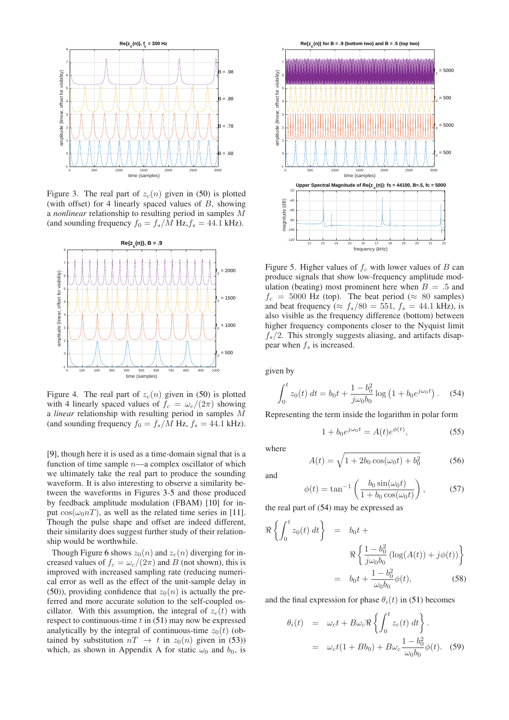<span id="page-4-0"></span>

Figure 3. The real part of  $z_c(n)$  given in [\(50\)](#page-3-5) is plotted (with offset) for 4 linearly spaced values of  $B$ , showing a *nonlinear* relationship to resulting period in samples M (and sounding frequency  $f_0 = f_s/M$  Hz,  $f_s = 44.1$  kHz).



Figure 4. The real part of  $z_c(n)$  given in [\(50\)](#page-3-5) is plotted with 4 linearly spaced values of  $f_c = \omega_c/(2\pi)$  showing a *linear* relationship with resulting period in samples M (and sounding frequency  $f_0 = f_s/M$  Hz,  $f_s = 44.1$  kHz).

[\[9\]](#page-7-8), though here it is used as a time-domain signal that is a function of time sample  $n$ —a complex oscillator of which we ultimately take the real part to produce the sounding waveform. It is also interesting to observe a similarity between the waveforms in Figures [3-](#page-4-0)[5](#page-4-1) and those produced by feedback amplitude modulation (FBAM) [\[10\]](#page-7-9) for input  $cos(\omega_0 nT)$ , as well as the related time series in [\[11\]](#page-7-10). Though the pulse shape and offset are indeed different, their similarity does suggest further study of their relationship would be worthwhile.

Though Figure [6](#page-5-0) shows  $z_0(n)$  and  $z_c(n)$  diverging for increased values of  $f_c = \omega_c/(2\pi)$  and B (not shown), this is improved with increased sampling rate (reducing numerical error as well as the effect of the unit-sample delay in [\(50\)](#page-3-5)), providing confidence that  $z_0(n)$  is actually the preferred and more accurate solution to the self-coupled oscillator. With this assumption, the integral of  $z_c(t)$  with respect to continuous-time  $t$  in [\(51\)](#page-3-7) may now be expressed analytically by the integral of continuous-time  $z_0(t)$  (obtained by substitution  $nT \rightarrow t$  in  $z_0(n)$  given in [\(53\)](#page-3-8)) which, as shown in Appendix A for static  $\omega_0$  and  $b_0$ , is

<span id="page-4-1"></span>

Figure 5. Higher values of  $f_c$  with lower values of  $B$  can produce signals that show low-frequency amplitude modulation (beating) most prominent here when  $B = .5$  and  $f_c = 5000$  Hz (top). The beat period ( $\approx 80$  samples) and beat frequency ( $\approx f_s/80 = 551$ ,  $f_s = 44.1$  kHz), is also visible as the frequency difference (bottom) between higher frequency components closer to the Nyquist limit  $f_s/2$ . This strongly suggests aliasing, and artifacts disappear when  $f_s$  is increased.

given by

<span id="page-4-2"></span>
$$
\int_0^t z_0(t) dt = b_0 t + \frac{1 - b_0^2}{j \omega_0 b_0} \log \left( 1 + b_0 e^{j \omega_0 t} \right).
$$
 (54)

Representing the term inside the logarithm in polar form

$$
1 + b_0 e^{j\omega_0 t} = A(t) e^{\phi(t)}, \tag{55}
$$

where

and

$$
A(t) = \sqrt{1 + 2b_0 \cos(\omega_0 t) + b_0^2}
$$
 (56)

<span id="page-4-4"></span> $\phi(t) = \tan^{-1}\left(\frac{b_0 \sin(\omega_0 t)}{1+t}\right)$  $1 + b_0 \cos(\omega_0 t)$  $\setminus$  $(57)$ 

the real part of [\(54\)](#page-4-2) may be expressed as

$$
\Re\left\{\int_0^t z_0(t) dt\right\} = b_0 t +
$$

$$
\Re\left\{\frac{1 - b_0^2}{j\omega_0 b_0} (\log(A(t)) + j\phi(t))\right\}
$$

$$
= b_0 t + \frac{1 - b_0^2}{\omega_0 b_0} \phi(t),
$$
(58)

and the final expression for phase  $\theta_i(t)$  in [\(51\)](#page-3-7) becomes

<span id="page-4-3"></span>
$$
\theta_i(t) = \omega_c t + B\omega_c \Re\left\{ \int_0^t z_c(t) dt \right\}.
$$
  
=  $\omega_c t (1 + Bb_0) + B\omega_c \frac{1 - b_0^2}{\omega_0 b_0} \phi(t).$  (59)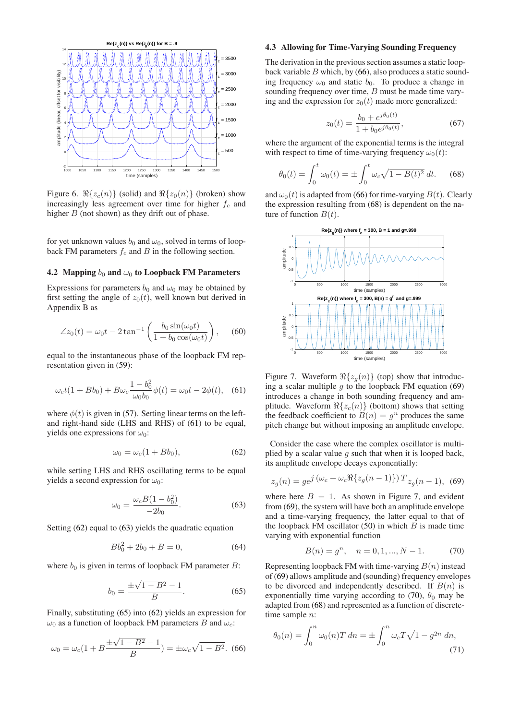<span id="page-5-0"></span>

Figure 6.  $\Re\{z_c(n)\}$  (solid) and  $\Re\{z_0(n)\}$  (broken) show increasingly less agreement over time for higher  $f_c$  and higher  $B$  (not shown) as they drift out of phase.

for yet unknown values  $b_0$  and  $\omega_0$ , solved in terms of loopback FM parameters  $f_c$  and B in the following section.

#### 4.2 Mapping  $b_0$  and  $\omega_0$  to Loopback FM Parameters

Expressions for parameters  $b_0$  and  $\omega_0$  may be obtained by first setting the angle of  $z_0(t)$ , well known but derived in Appendix B as

$$
\angle z_0(t) = \omega_0 t - 2 \tan^{-1} \left( \frac{b_0 \sin(\omega_0 t)}{1 + b_0 \cos(\omega_0 t)} \right), \quad (60)
$$

equal to the instantaneous phase of the loopback FM representation given in [\(59\)](#page-4-3):

<span id="page-5-1"></span>
$$
\omega_c t (1 + Bb_0) + B\omega_c \frac{1 - b_0^2}{\omega_0 b_0} \phi(t) = \omega_0 t - 2\phi(t), \quad (61)
$$

where  $\phi(t)$  is given in [\(57\)](#page-4-4). Setting linear terms on the leftand right-hand side (LHS and RHS) of [\(61\)](#page-5-1) to be equal, yields one expressions for  $\omega_0$ :

<span id="page-5-2"></span>
$$
\omega_0 = \omega_c (1 + Bb_0),\tag{62}
$$

while setting LHS and RHS oscillating terms to be equal yields a second expression for  $\omega_0$ :

<span id="page-5-3"></span>
$$
\omega_0 = \frac{\omega_c B (1 - b_0^2)}{-2b_0}.
$$
\n(63)

Setting [\(62\)](#page-5-2) equal to [\(63\)](#page-5-3) yields the quadratic equation

$$
Bb_0^2 + 2b_0 + B = 0,\t(64)
$$

where  $b_0$  is given in terms of loopback FM parameter B:

<span id="page-5-4"></span>
$$
b_0 = \frac{\pm\sqrt{1 - B^2} - 1}{B}.\tag{65}
$$

Finally, substituting [\(65\)](#page-5-4) into [\(62\)](#page-5-2) yields an expression for  $\omega_0$  as a function of loopback FM parameters B and  $\omega_c$ :

<span id="page-5-5"></span>
$$
\omega_0 = \omega_c (1 + B \frac{\pm \sqrt{1 - B^2} - 1}{B}) = \pm \omega_c \sqrt{1 - B^2}.
$$
 (66)

## 4.3 Allowing for Time-Varying Sounding Frequency

The derivation in the previous section assumes a static loopback variable  $B$  which, by [\(66\)](#page-5-5), also produces a static sounding frequency  $\omega_0$  and static  $b_0$ . To produce a change in sounding frequency over time, B must be made time varying and the expression for  $z_0(t)$  made more generalized:

<span id="page-5-10"></span>
$$
z_0(t) = \frac{b_0 + e^{j\theta_0(t)}}{1 + b_0 e^{j\theta_0(t)}},
$$
\n(67)

where the argument of the exponential terms is the integral with respect to time of time-varying frequency  $\omega_0(t)$ :

<span id="page-5-6"></span>
$$
\theta_0(t) = \int_0^t \omega_0(t) = \pm \int_0^t \omega_c \sqrt{1 - B(t)^2} \, dt. \tag{68}
$$

and  $\omega_0(t)$  is adapted from [\(66\)](#page-5-5) for time-varying  $B(t)$ . Clearly the expression resulting from [\(68\)](#page-5-6) is dependent on the nature of function  $B(t)$ .

<span id="page-5-8"></span>

Figure 7. Waveform  $\Re\{z_g(n)\}\$  (top) show that introducing a scalar multiple  $q$  to the loopback FM equation [\(69\)](#page-5-7) introduces a change in both sounding frequency and amplitude. Waveform  $\Re\{z_c(n)\}\$  (bottom) shows that setting the feedback coefficient to  $B(n) = g^n$  produces the same pitch change but without imposing an amplitude envelope.

Consider the case where the complex oscillator is multiplied by a scalar value  $q$  such that when it is looped back, its amplitude envelope decays exponentially:

<span id="page-5-7"></span>
$$
z_g(n) = ge^{j(\omega_c + \omega_c \Re\{z_g(n-1)\})} T_{z_g(n-1), (69)}
$$

where here  $B = 1$ . As shown in Figure [7,](#page-5-8) and evident from [\(69\)](#page-5-7), the system will have both an amplitude envelope and a time-varying frequency, the latter equal to that of the loopback FM oscillator  $(50)$  in which B is made time varying with exponential function

<span id="page-5-9"></span>
$$
B(n) = g^n, \quad n = 0, 1, ..., N - 1.
$$
 (70)

Representing loopback FM with time-varying  $B(n)$  instead of [\(69\)](#page-5-7) allows amplitude and (sounding) frequency envelopes to be divorced and independently described. If  $B(n)$  is exponentially time varying according to [\(70\)](#page-5-9),  $\theta_0$  may be adapted from [\(68\)](#page-5-6) and represented as a function of discretetime sample n:

<span id="page-5-11"></span>
$$
\theta_0(n) = \int_0^n \omega_0(n) T \, dn = \pm \int_0^n \omega_c T \sqrt{1 - g^{2n}} \, dn,
$$
\n(71)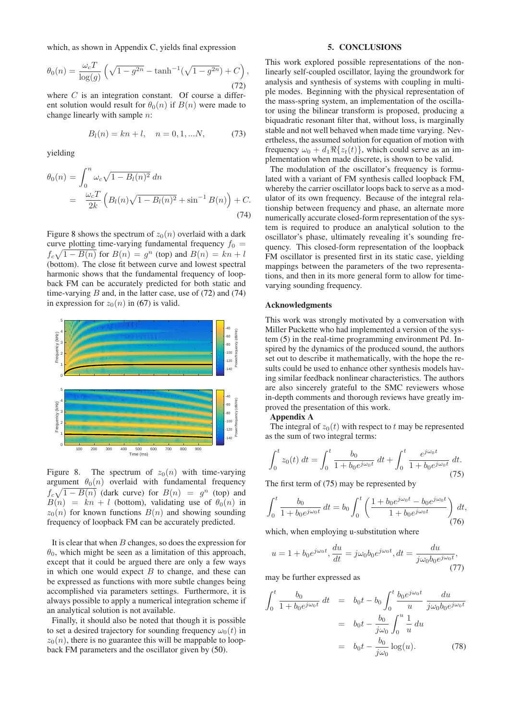which, as shown in Appendix C, yields final expression

<span id="page-6-1"></span>
$$
\theta_0(n) = \frac{\omega_c T}{\log(g)} \left( \sqrt{1 - g^{2n}} - \tanh^{-1}(\sqrt{1 - g^{2n}}) + C \right),\tag{72}
$$

where  $C$  is an integration constant. Of course a different solution would result for  $\theta_0(n)$  if  $B(n)$  were made to change linearly with sample n:

$$
B_l(n) = kn + l, \quad n = 0, 1, \dots N,
$$
 (73)

yielding

<span id="page-6-2"></span>
$$
\theta_0(n) = \int_0^n \omega_c \sqrt{1 - B_l(n)^2} \, dn
$$
  
= 
$$
\frac{\omega_c T}{2k} \left( B_l(n) \sqrt{1 - B_l(n)^2} + \sin^{-1} B(n) \right) + C.
$$
 (74)

Figure [8](#page-6-0) shows the spectrum of  $z_0(n)$  overlaid with a dark curve plotting time-varying fundamental frequency  $f_0 =$  $f_c\sqrt{1-B(n)}$  for  $B(n) = g^n$  (top) and  $B(n) = kn+l$ (bottom). The close fit between curve and lowest spectral harmonic shows that the fundamental frequency of loopback FM can be accurately predicted for both static and time-varying  $B$  and, in the latter case, use of  $(72)$  and  $(74)$ in expression for  $z_0(n)$  in [\(67\)](#page-5-10) is valid.

<span id="page-6-0"></span>

Figure 8. The spectrum of  $z_0(n)$  with time-varying argument  $\theta_0(n)$  overlaid with fundamental frequency  $f_c\sqrt{1-B(n)}$  (dark curve) for  $B(n) = g^n$  (top) and  $B(n) = kn + l$  (bottom), validating use of  $\theta_0(n)$  in  $z_0(n)$  for known functions  $B(n)$  and showing sounding frequency of loopback FM can be accurately predicted.

It is clear that when  $B$  changes, so does the expression for  $\theta_0$ , which might be seen as a limitation of this approach, except that it could be argued there are only a few ways in which one would expect  $B$  to change, and these can be expressed as functions with more subtle changes being accomplished via parameters settings. Furthermore, it is always possible to apply a numerical integration scheme if an analytical solution is not available.

Finally, it should also be noted that though it is possible to set a desired trajectory for sounding frequency  $\omega_0(t)$  in  $z_0(n)$ , there is no guarantee this will be mappable to loopback FM parameters and the oscillator given by [\(50\)](#page-3-5).

## 5. CONCLUSIONS

This work explored possible representations of the nonlinearly self-coupled oscillator, laying the groundwork for analysis and synthesis of systems with coupling in multiple modes. Beginning with the physical representation of the mass-spring system, an implementation of the oscillator using the bilinear transform is proposed, producing a biquadratic resonant filter that, without loss, is marginally stable and not well behaved when made time varying. Nevertheless, the assumed solution for equation of motion with frequency  $\omega_0 + d_1 \Re\{z_t(t)\}\,$ , which could serve as an implementation when made discrete, is shown to be valid.

The modulation of the oscillator's frequency is formulated with a variant of FM synthesis called loopback FM, whereby the carrier oscillator loops back to serve as a modulator of its own frequency. Because of the integral relationship between frequency and phase, an alternate more numerically accurate closed-form representation of the system is required to produce an analytical solution to the oscillator's phase, ultimately revealing it's sounding frequency. This closed-form representation of the loopback FM oscillator is presented first in its static case, yielding mappings between the parameters of the two representations, and then in its more general form to allow for timevarying sounding frequency.

## Acknowledgments

This work was strongly motivated by a conversation with Miller Puckette who had implemented a version of the system [\(5\)](#page-1-0) in the real-time programming environment Pd. Inspired by the dynamics of the produced sound, the authors set out to describe it mathematically, with the hope the results could be used to enhance other synthesis models having similar feedback nonlinear characteristics. The authors are also sincerely grateful to the SMC reviewers whose in-depth comments and thorough reviews have greatly improved the presentation of this work.

# Appendix A

The integral of  $z_0(t)$  with respect to t may be represented as the sum of two integral terms:

<span id="page-6-3"></span>
$$
\int_0^t z_0(t) dt = \int_0^t \frac{b_0}{1 + b_0 e^{j\omega_0 t}} dt + \int_0^t \frac{e^{j\omega_0 t}}{1 + b_0 e^{j\omega_0 t}} dt.
$$
\n(75)

The first term of [\(75\)](#page-6-3) may be represented by

$$
\int_0^t \frac{b_0}{1 + b_0 e^{j\omega_0 t}} dt = b_0 \int_0^t \left( \frac{1 + b_0 e^{j\omega_0 t} - b_0 e^{j\omega_0 t}}{1 + b_0 e^{j\omega_0 t}} \right) dt,
$$
\n(76)

which, when employing u-substitution where

<span id="page-6-5"></span>
$$
u = 1 + b_0 e^{j\omega_0 t}, \frac{du}{dt} = j\omega_0 b_0 e^{j\omega_0 t}, dt = \frac{du}{j\omega_0 b_0 e^{j\omega_0 t}},
$$
\n(77)

may be further expressed as

<span id="page-6-4"></span>
$$
\int_0^t \frac{b_0}{1 + b_0 e^{j\omega_0 t}} dt = b_0 t - b_0 \int_0^t \frac{b_0 e^{j\omega_0 t}}{u} \frac{du}{j\omega_0 b_0 e^{j\omega_0 t}}
$$

$$
= b_0 t - \frac{b_0}{j\omega_0} \int_0^u \frac{1}{u} du
$$

$$
= b_0 t - \frac{b_0}{j\omega_0} \log(u). \tag{78}
$$